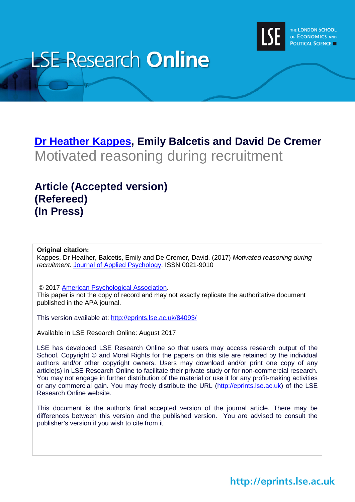

# **LSE Research Online**

# **[Dr Heather Kappes,](http://www.lse.ac.uk/researchAndExpertise/Experts/profile.aspx?KeyValue=h.kappes@lse.ac.uk) Emily Balcetis and David De Cremer** Motivated reasoning during recruitment

## **Article (Accepted version) (Refereed) (In Press)**

#### **Original citation:**

Kappes, Dr Heather, Balcetis, Emily and De Cremer, David. (2017) *Motivated reasoning during recruitment.* [Journal of Applied Psychology.](http://www.apa.org/pubs/journals/apl/) ISSN 0021-9010

© 2017 [American Psychological Association.](http://www.apa.org/index.aspx)

This paper is not the copy of record and may not exactly replicate the authoritative document published in the APA journal.

This version available at:<http://eprints.lse.ac.uk/84093/>

Available in LSE Research Online: August 2017

LSE has developed LSE Research Online so that users may access research output of the School. Copyright © and Moral Rights for the papers on this site are retained by the individual authors and/or other copyright owners. Users may download and/or print one copy of any article(s) in LSE Research Online to facilitate their private study or for non-commercial research. You may not engage in further distribution of the material or use it for any profit-making activities or any commercial gain. You may freely distribute the URL (http://eprints.lse.ac.uk) of the LSE Research Online website.

This document is the author's final accepted version of the journal article. There may be differences between this version and the published version. You are advised to consult the publisher's version if you wish to cite from it.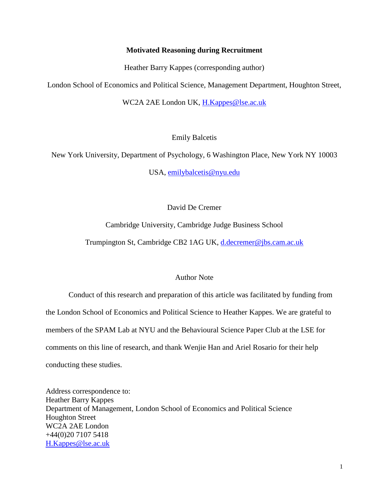#### **Motivated Reasoning during Recruitment**

Heather Barry Kappes (corresponding author)

London School of Economics and Political Science, Management Department, Houghton Street,

WC2A 2AE London UK, [H.Kappes@lse.ac.uk](mailto:H.Kappes@lse.ac.uk)

Emily Balcetis

New York University, Department of Psychology, 6 Washington Place, New York NY 10003

USA, [emilybalcetis@nyu.edu](mailto:emilybalcetis@nyu.edu)

David De Cremer

Cambridge University, Cambridge Judge Business School

Trumpington St, Cambridge CB2 1AG UK, [d.decremer@jbs.cam.ac.uk](mailto:d.decremer@jbs.cam.ac.uk)

#### Author Note

Conduct of this research and preparation of this article was facilitated by funding from the London School of Economics and Political Science to Heather Kappes. We are grateful to members of the SPAM Lab at NYU and the Behavioural Science Paper Club at the LSE for comments on this line of research, and thank Wenjie Han and Ariel Rosario for their help conducting these studies.

Address correspondence to: Heather Barry Kappes Department of Management, London School of Economics and Political Science Houghton Street WC2A 2AE London +44(0)20 7107 5418 [H.Kappes@lse.ac.uk](mailto:H.Kappes@lse.ac.uk)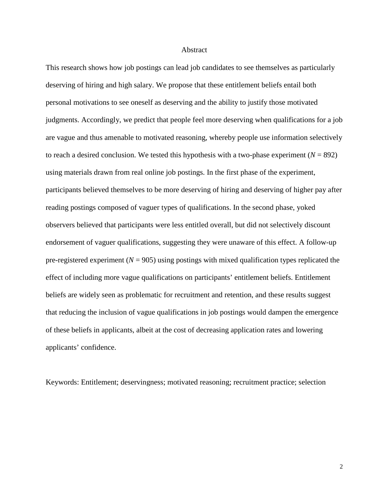#### Abstract

This research shows how job postings can lead job candidates to see themselves as particularly deserving of hiring and high salary. We propose that these entitlement beliefs entail both personal motivations to see oneself as deserving and the ability to justify those motivated judgments. Accordingly, we predict that people feel more deserving when qualifications for a job are vague and thus amenable to motivated reasoning, whereby people use information selectively to reach a desired conclusion. We tested this hypothesis with a two-phase experiment  $(N = 892)$ using materials drawn from real online job postings. In the first phase of the experiment, participants believed themselves to be more deserving of hiring and deserving of higher pay after reading postings composed of vaguer types of qualifications. In the second phase, yoked observers believed that participants were less entitled overall, but did not selectively discount endorsement of vaguer qualifications, suggesting they were unaware of this effect. A follow-up pre-registered experiment ( $N = 905$ ) using postings with mixed qualification types replicated the effect of including more vague qualifications on participants' entitlement beliefs. Entitlement beliefs are widely seen as problematic for recruitment and retention, and these results suggest that reducing the inclusion of vague qualifications in job postings would dampen the emergence of these beliefs in applicants, albeit at the cost of decreasing application rates and lowering applicants' confidence.

Keywords: Entitlement; deservingness; motivated reasoning; recruitment practice; selection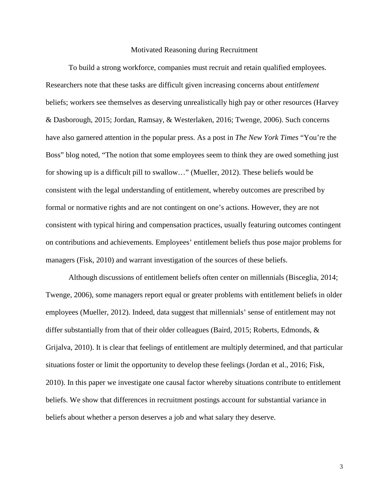#### Motivated Reasoning during Recruitment

To build a strong workforce, companies must recruit and retain qualified employees. Researchers note that these tasks are difficult given increasing concerns about *entitlement* beliefs; workers see themselves as deserving unrealistically high pay or other resources (Harvey & Dasborough, 2015; Jordan, Ramsay, & Westerlaken, 2016; Twenge, 2006). Such concerns have also garnered attention in the popular press. As a post in *The New York Times* "You're the Boss" blog noted, "The notion that some employees seem to think they are owed something just for showing up is a difficult pill to swallow…" (Mueller, 2012). These beliefs would be consistent with the legal understanding of entitlement, whereby outcomes are prescribed by formal or normative rights and are not contingent on one's actions. However, they are not consistent with typical hiring and compensation practices, usually featuring outcomes contingent on contributions and achievements. Employees' entitlement beliefs thus pose major problems for managers (Fisk, 2010) and warrant investigation of the sources of these beliefs.

Although discussions of entitlement beliefs often center on millennials (Bisceglia, 2014; Twenge, 2006), some managers report equal or greater problems with entitlement beliefs in older employees (Mueller, 2012). Indeed, data suggest that millennials' sense of entitlement may not differ substantially from that of their older colleagues (Baird, 2015; Roberts, Edmonds, & Grijalva, 2010). It is clear that feelings of entitlement are multiply determined, and that particular situations foster or limit the opportunity to develop these feelings (Jordan et al., 2016; Fisk, 2010). In this paper we investigate one causal factor whereby situations contribute to entitlement beliefs. We show that differences in recruitment postings account for substantial variance in beliefs about whether a person deserves a job and what salary they deserve.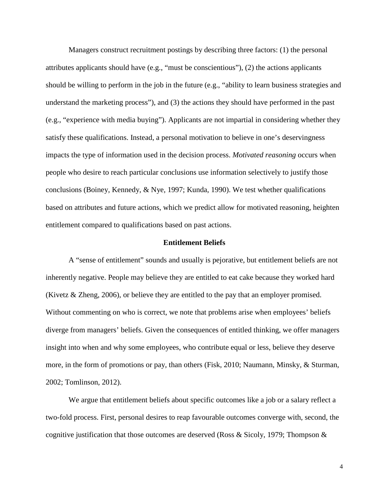Managers construct recruitment postings by describing three factors: (1) the personal attributes applicants should have (e.g., "must be conscientious"), (2) the actions applicants should be willing to perform in the job in the future (e.g., "ability to learn business strategies and understand the marketing process"), and (3) the actions they should have performed in the past (e.g., "experience with media buying"). Applicants are not impartial in considering whether they satisfy these qualifications. Instead, a personal motivation to believe in one's deservingness impacts the type of information used in the decision process. *Motivated reasoning* occurs when people who desire to reach particular conclusions use information selectively to justify those conclusions (Boiney, Kennedy, & Nye, 1997; Kunda, 1990). We test whether qualifications based on attributes and future actions, which we predict allow for motivated reasoning, heighten entitlement compared to qualifications based on past actions.

#### **Entitlement Beliefs**

A "sense of entitlement" sounds and usually is pejorative, but entitlement beliefs are not inherently negative. People may believe they are entitled to eat cake because they worked hard (Kivetz & Zheng, 2006), or believe they are entitled to the pay that an employer promised. Without commenting on who is correct, we note that problems arise when employees' beliefs diverge from managers' beliefs. Given the consequences of entitled thinking, we offer managers insight into when and why some employees, who contribute equal or less, believe they deserve more, in the form of promotions or pay, than others (Fisk, 2010; Naumann, Minsky, & Sturman, 2002; Tomlinson, 2012).

We argue that entitlement beliefs about specific outcomes like a job or a salary reflect a two-fold process. First, personal desires to reap favourable outcomes converge with, second, the cognitive justification that those outcomes are deserved (Ross & Sicoly, 1979; Thompson  $\&$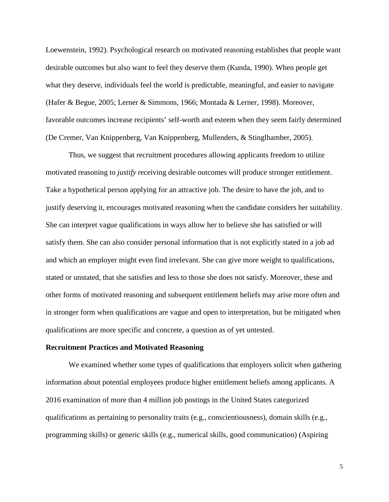Loewenstein, 1992). Psychological research on motivated reasoning establishes that people want desirable outcomes but also want to feel they deserve them (Kunda, 1990). When people get what they deserve, individuals feel the world is predictable, meaningful, and easier to navigate (Hafer & Begue, 2005; Lerner & Simmons, 1966; Montada & Lerner, 1998). Moreover, favorable outcomes increase recipients' self-worth and esteem when they seem fairly determined (De Cremer, Van Knippenberg, Van Knippenberg, Mullenders, & Stinglhamber, 2005).

Thus, we suggest that recruitment procedures allowing applicants freedom to utilize motivated reasoning to *justify* receiving desirable outcomes will produce stronger entitlement. Take a hypothetical person applying for an attractive job. The desire to have the job, and to justify deserving it, encourages motivated reasoning when the candidate considers her suitability. She can interpret vague qualifications in ways allow her to believe she has satisfied or will satisfy them. She can also consider personal information that is not explicitly stated in a job ad and which an employer might even find irrelevant. She can give more weight to qualifications, stated or unstated, that she satisfies and less to those she does not satisfy. Moreover, these and other forms of motivated reasoning and subsequent entitlement beliefs may arise more often and in stronger form when qualifications are vague and open to interpretation, but be mitigated when qualifications are more specific and concrete, a question as of yet untested.

#### **Recruitment Practices and Motivated Reasoning**

We examined whether some types of qualifications that employers solicit when gathering information about potential employees produce higher entitlement beliefs among applicants. A 2016 examination of more than 4 million job postings in the United States categorized qualifications as pertaining to personality traits (e.g., conscientiousness), domain skills (e.g., programming skills) or generic skills (e.g., numerical skills, good communication) (Aspiring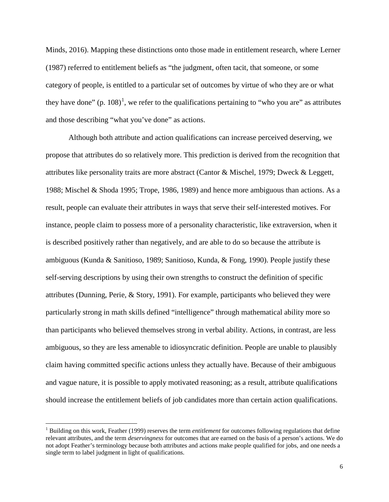Minds, 2016). Mapping these distinctions onto those made in entitlement research, where Lerner (1987) referred to entitlement beliefs as "the judgment, often tacit, that someone, or some category of people, is entitled to a particular set of outcomes by virtue of who they are or what they have done" (p. [1](#page-6-0)08)<sup>1</sup>, we refer to the qualifications pertaining to "who you are" as attributes and those describing "what you've done" as actions.

Although both attribute and action qualifications can increase perceived deserving, we propose that attributes do so relatively more. This prediction is derived from the recognition that attributes like personality traits are more abstract (Cantor & Mischel, 1979; Dweck & Leggett, 1988; Mischel & Shoda 1995; Trope, 1986, 1989) and hence more ambiguous than actions. As a result, people can evaluate their attributes in ways that serve their self-interested motives. For instance, people claim to possess more of a personality characteristic, like extraversion, when it is described positively rather than negatively, and are able to do so because the attribute is ambiguous (Kunda & Sanitioso, 1989; Sanitioso, Kunda, & Fong, 1990). People justify these self-serving descriptions by using their own strengths to construct the definition of specific attributes (Dunning, Perie, & Story, 1991). For example, participants who believed they were particularly strong in math skills defined "intelligence" through mathematical ability more so than participants who believed themselves strong in verbal ability. Actions, in contrast, are less ambiguous, so they are less amenable to idiosyncratic definition. People are unable to plausibly claim having committed specific actions unless they actually have. Because of their ambiguous and vague nature, it is possible to apply motivated reasoning; as a result, attribute qualifications should increase the entitlement beliefs of job candidates more than certain action qualifications.

<span id="page-6-0"></span><sup>1</sup> Building on this work, Feather (1999) reserves the term *entitlement* for outcomes following regulations that define relevant attributes, and the term *deservingness* for outcomes that are earned on the basis of a person's actions. We do not adopt Feather's terminology because both attributes and actions make people qualified for jobs, and one needs a single term to label judgment in light of qualifications.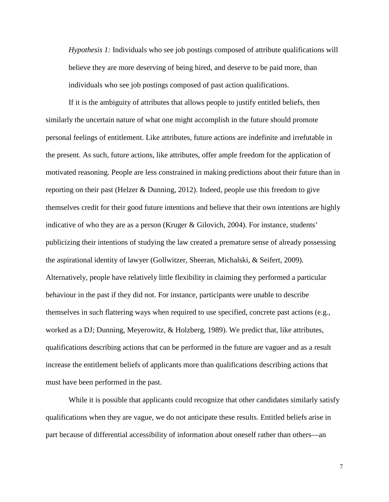*Hypothesis 1:* Individuals who see job postings composed of attribute qualifications will believe they are more deserving of being hired, and deserve to be paid more, than individuals who see job postings composed of past action qualifications.

If it is the ambiguity of attributes that allows people to justify entitled beliefs, then similarly the uncertain nature of what one might accomplish in the future should promote personal feelings of entitlement. Like attributes, future actions are indefinite and irrefutable in the present. As such, future actions, like attributes, offer ample freedom for the application of motivated reasoning. People are less constrained in making predictions about their future than in reporting on their past (Helzer & Dunning, 2012). Indeed, people use this freedom to give themselves credit for their good future intentions and believe that their own intentions are highly indicative of who they are as a person (Kruger & Gilovich, 2004). For instance, students' publicizing their intentions of studying the law created a premature sense of already possessing the aspirational identity of lawyer (Gollwitzer, Sheeran, Michalski, & Seifert, 2009). Alternatively, people have relatively little flexibility in claiming they performed a particular behaviour in the past if they did not. For instance, participants were unable to describe themselves in such flattering ways when required to use specified, concrete past actions (e.g., worked as a DJ; Dunning, Meyerowitz, & Holzberg, 1989). We predict that, like attributes, qualifications describing actions that can be performed in the future are vaguer and as a result increase the entitlement beliefs of applicants more than qualifications describing actions that must have been performed in the past.

While it is possible that applicants could recognize that other candidates similarly satisfy qualifications when they are vague, we do not anticipate these results. Entitled beliefs arise in part because of differential accessibility of information about oneself rather than others—an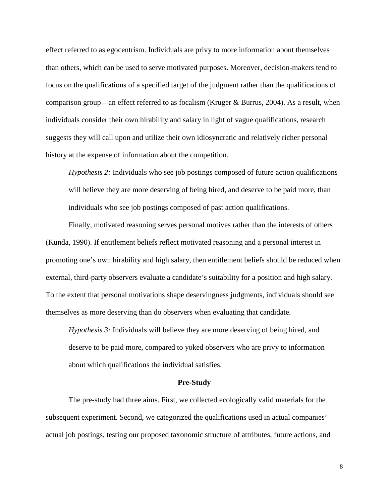effect referred to as egocentrism. Individuals are privy to more information about themselves than others, which can be used to serve motivated purposes. Moreover, decision-makers tend to focus on the qualifications of a specified target of the judgment rather than the qualifications of comparison group—an effect referred to as focalism (Kruger & Burrus, 2004). As a result, when individuals consider their own hirability and salary in light of vague qualifications, research suggests they will call upon and utilize their own idiosyncratic and relatively richer personal history at the expense of information about the competition.

*Hypothesis 2:* Individuals who see job postings composed of future action qualifications will believe they are more deserving of being hired, and deserve to be paid more, than individuals who see job postings composed of past action qualifications.

Finally, motivated reasoning serves personal motives rather than the interests of others (Kunda, 1990). If entitlement beliefs reflect motivated reasoning and a personal interest in promoting one's own hirability and high salary, then entitlement beliefs should be reduced when external, third-party observers evaluate a candidate's suitability for a position and high salary. To the extent that personal motivations shape deservingness judgments, individuals should see themselves as more deserving than do observers when evaluating that candidate.

*Hypothesis 3:* Individuals will believe they are more deserving of being hired, and deserve to be paid more, compared to yoked observers who are privy to information about which qualifications the individual satisfies.

#### **Pre-Study**

The pre-study had three aims. First, we collected ecologically valid materials for the subsequent experiment. Second, we categorized the qualifications used in actual companies' actual job postings, testing our proposed taxonomic structure of attributes, future actions, and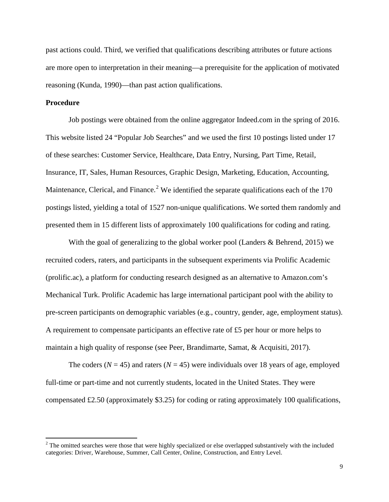past actions could. Third, we verified that qualifications describing attributes or future actions are more open to interpretation in their meaning—a prerequisite for the application of motivated reasoning (Kunda, 1990)—than past action qualifications.

#### **Procedure**

Job postings were obtained from the online aggregator Indeed.com in the spring of 2016. This website listed 24 "Popular Job Searches" and we used the first 10 postings listed under 17 of these searches: Customer Service, Healthcare, Data Entry, Nursing, Part Time, Retail, Insurance, IT, Sales, Human Resources, Graphic Design, Marketing, Education, Accounting, Maintenance, Clerical, and Finance.<sup>[2](#page-9-0)</sup> We identified the separate qualifications each of the  $170$ postings listed, yielding a total of 1527 non-unique qualifications. We sorted them randomly and presented them in 15 different lists of approximately 100 qualifications for coding and rating.

With the goal of generalizing to the global worker pool (Landers & Behrend, 2015) we recruited coders, raters, and participants in the subsequent experiments via Prolific Academic (prolific.ac), a platform for conducting research designed as an alternative to Amazon.com's Mechanical Turk. Prolific Academic has large international participant pool with the ability to pre-screen participants on demographic variables (e.g., country, gender, age, employment status). A requirement to compensate participants an effective rate of £5 per hour or more helps to maintain a high quality of response (see Peer, Brandimarte, Samat, & Acquisiti, 2017).

The coders ( $N = 45$ ) and raters ( $N = 45$ ) were individuals over 18 years of age, employed full-time or part-time and not currently students, located in the United States. They were compensated  $\text{\pounds}2.50$  (approximately \$3.25) for coding or rating approximately 100 qualifications,

<span id="page-9-0"></span><sup>&</sup>lt;sup>2</sup> The omitted searches were those that were highly specialized or else overlapped substantively with the included categories: Driver, Warehouse, Summer, Call Center, Online, Construction, and Entry Level.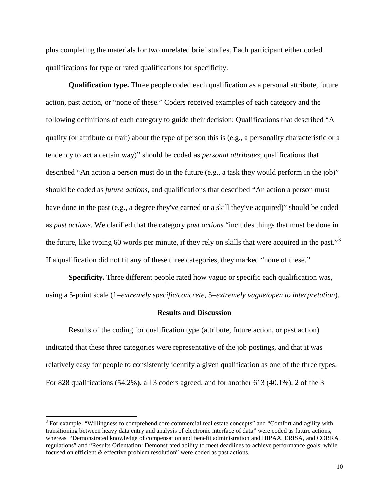plus completing the materials for two unrelated brief studies. Each participant either coded qualifications for type or rated qualifications for specificity.

**Qualification type.** Three people coded each qualification as a personal attribute, future action, past action, or "none of these." Coders received examples of each category and the following definitions of each category to guide their decision: Qualifications that described "A quality (or attribute or trait) about the type of person this is (e.g., a personality characteristic or a tendency to act a certain way)" should be coded as *personal attributes*; qualifications that described "An action a person must do in the future (e.g., a task they would perform in the job)" should be coded as *future actions*, and qualifications that described "An action a person must have done in the past (e.g., a degree they've earned or a skill they've acquired)" should be coded as *past actions*. We clarified that the category *past actions* "includes things that must be done in the future, like typing 60 words per minute, if they rely on skills that were acquired in the past."[3](#page-10-0) If a qualification did not fit any of these three categories, they marked "none of these."

**Specificity.** Three different people rated how vague or specific each qualification was, using a 5-point scale (1=*extremely specific/concrete*, 5=*extremely vague/open to interpretation*).

#### **Results and Discussion**

Results of the coding for qualification type (attribute, future action, or past action) indicated that these three categories were representative of the job postings, and that it was relatively easy for people to consistently identify a given qualification as one of the three types. For 828 qualifications (54.2%), all 3 coders agreed, and for another 613 (40.1%), 2 of the 3

<span id="page-10-0"></span><sup>&</sup>lt;sup>3</sup> For example, "Willingness to comprehend core commercial real estate concepts" and "Comfort and agility with transitioning between heavy data entry and analysis of electronic interface of data" were coded as future actions, whereas "Demonstrated knowledge of compensation and benefit administration and HIPAA, ERISA, and COBRA regulations" and "Results Orientation: Demonstrated ability to meet deadlines to achieve performance goals, while focused on efficient & effective problem resolution" were coded as past actions.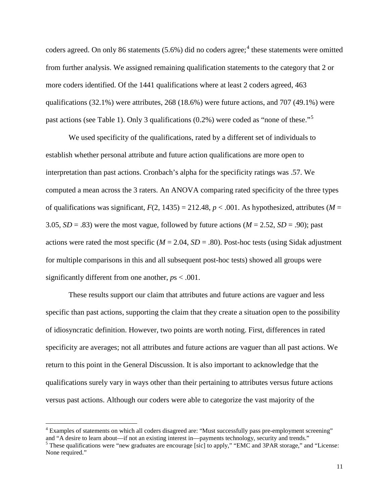coders agreed. On only 86 statements  $(5.6\%)$  did no coders agree;<sup>[4](#page-11-0)</sup> these statements were omitted from further analysis. We assigned remaining qualification statements to the category that 2 or more coders identified. Of the 1441 qualifications where at least 2 coders agreed, 463 qualifications (32.1%) were attributes, 268 (18.6%) were future actions, and 707 (49.1%) were past actions (see Table 1). Only 3 qualifications  $(0.2\%)$  were coded as "none of these."<sup>[5](#page-11-1)</sup>

We used specificity of the qualifications, rated by a different set of individuals to establish whether personal attribute and future action qualifications are more open to interpretation than past actions. Cronbach's alpha for the specificity ratings was .57. We computed a mean across the 3 raters. An ANOVA comparing rated specificity of the three types of qualifications was significant,  $F(2, 1435) = 212.48$ ,  $p < .001$ . As hypothesized, attributes ( $M =$ 3.05,  $SD = .83$ ) were the most vague, followed by future actions ( $M = 2.52$ ,  $SD = .90$ ); past actions were rated the most specific ( $M = 2.04$ ,  $SD = .80$ ). Post-hoc tests (using Sidak adjustment for multiple comparisons in this and all subsequent post-hoc tests) showed all groups were significantly different from one another, *p*s < .001.

These results support our claim that attributes and future actions are vaguer and less specific than past actions, supporting the claim that they create a situation open to the possibility of idiosyncratic definition. However, two points are worth noting. First, differences in rated specificity are averages; not all attributes and future actions are vaguer than all past actions. We return to this point in the General Discussion. It is also important to acknowledge that the qualifications surely vary in ways other than their pertaining to attributes versus future actions versus past actions. Although our coders were able to categorize the vast majority of the

<span id="page-11-0"></span><sup>&</sup>lt;sup>4</sup> Examples of statements on which all coders disagreed are: "Must successfully pass pre-employment screening" and "A desire to learn about—if not an existing interest in—payments technology, security and trends."<br><sup>5</sup> These qualifications were "new graduates are encourage [sic] to apply," "EMC and 3PAR storage," and "License:

<span id="page-11-1"></span>None required."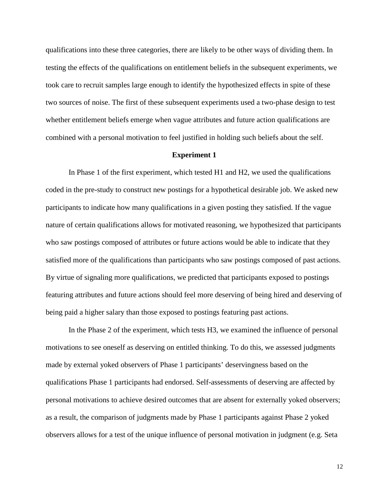qualifications into these three categories, there are likely to be other ways of dividing them. In testing the effects of the qualifications on entitlement beliefs in the subsequent experiments, we took care to recruit samples large enough to identify the hypothesized effects in spite of these two sources of noise. The first of these subsequent experiments used a two-phase design to test whether entitlement beliefs emerge when vague attributes and future action qualifications are combined with a personal motivation to feel justified in holding such beliefs about the self.

#### **Experiment 1**

In Phase 1 of the first experiment, which tested H1 and H2, we used the qualifications coded in the pre-study to construct new postings for a hypothetical desirable job. We asked new participants to indicate how many qualifications in a given posting they satisfied. If the vague nature of certain qualifications allows for motivated reasoning, we hypothesized that participants who saw postings composed of attributes or future actions would be able to indicate that they satisfied more of the qualifications than participants who saw postings composed of past actions. By virtue of signaling more qualifications, we predicted that participants exposed to postings featuring attributes and future actions should feel more deserving of being hired and deserving of being paid a higher salary than those exposed to postings featuring past actions.

In the Phase 2 of the experiment, which tests H3, we examined the influence of personal motivations to see oneself as deserving on entitled thinking. To do this, we assessed judgments made by external yoked observers of Phase 1 participants' deservingness based on the qualifications Phase 1 participants had endorsed. Self-assessments of deserving are affected by personal motivations to achieve desired outcomes that are absent for externally yoked observers; as a result, the comparison of judgments made by Phase 1 participants against Phase 2 yoked observers allows for a test of the unique influence of personal motivation in judgment (e.g. Seta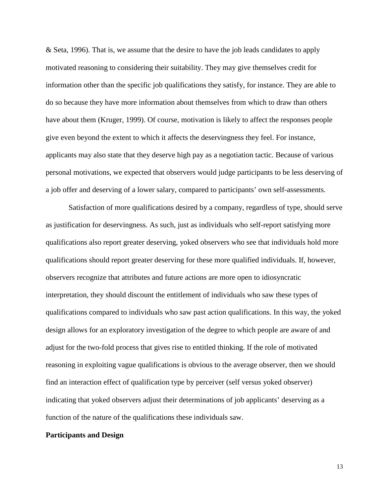& Seta, 1996). That is, we assume that the desire to have the job leads candidates to apply motivated reasoning to considering their suitability. They may give themselves credit for information other than the specific job qualifications they satisfy, for instance. They are able to do so because they have more information about themselves from which to draw than others have about them (Kruger, 1999). Of course, motivation is likely to affect the responses people give even beyond the extent to which it affects the deservingness they feel. For instance, applicants may also state that they deserve high pay as a negotiation tactic. Because of various personal motivations, we expected that observers would judge participants to be less deserving of a job offer and deserving of a lower salary, compared to participants' own self-assessments.

Satisfaction of more qualifications desired by a company, regardless of type, should serve as justification for deservingness. As such, just as individuals who self-report satisfying more qualifications also report greater deserving, yoked observers who see that individuals hold more qualifications should report greater deserving for these more qualified individuals. If, however, observers recognize that attributes and future actions are more open to idiosyncratic interpretation, they should discount the entitlement of individuals who saw these types of qualifications compared to individuals who saw past action qualifications. In this way, the yoked design allows for an exploratory investigation of the degree to which people are aware of and adjust for the two-fold process that gives rise to entitled thinking. If the role of motivated reasoning in exploiting vague qualifications is obvious to the average observer, then we should find an interaction effect of qualification type by perceiver (self versus yoked observer) indicating that yoked observers adjust their determinations of job applicants' deserving as a function of the nature of the qualifications these individuals saw.

#### **Participants and Design**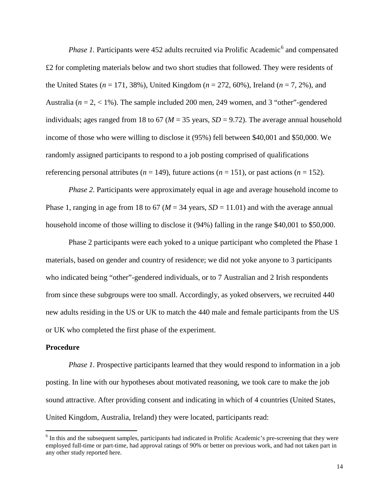*Phase 1.* Participants were 452 adults recruited via Prolific Academic<sup>[6](#page-14-0)</sup> and compensated £2 for completing materials below and two short studies that followed. They were residents of the United States (*n* = 171, 38%), United Kingdom (*n* = 272, 60%), Ireland (*n* = 7, 2%), and Australia ( $n = 2, < 1\%$ ). The sample included 200 men, 249 women, and 3 "other"-gendered individuals; ages ranged from 18 to 67 ( $M = 35$  years,  $SD = 9.72$ ). The average annual household income of those who were willing to disclose it (95%) fell between \$40,001 and \$50,000. We randomly assigned participants to respond to a job posting comprised of qualifications referencing personal attributes ( $n = 149$ ), future actions ( $n = 151$ ), or past actions ( $n = 152$ ).

*Phase 2.* Participants were approximately equal in age and average household income to Phase 1, ranging in age from 18 to 67 ( $M = 34$  years,  $SD = 11.01$ ) and with the average annual household income of those willing to disclose it (94%) falling in the range \$40,001 to \$50,000.

Phase 2 participants were each yoked to a unique participant who completed the Phase 1 materials, based on gender and country of residence; we did not yoke anyone to 3 participants who indicated being "other"-gendered individuals, or to 7 Australian and 2 Irish respondents from since these subgroups were too small. Accordingly, as yoked observers, we recruited 440 new adults residing in the US or UK to match the 440 male and female participants from the US or UK who completed the first phase of the experiment.

#### **Procedure**

*Phase 1.* Prospective participants learned that they would respond to information in a job posting. In line with our hypotheses about motivated reasoning, we took care to make the job sound attractive. After providing consent and indicating in which of 4 countries (United States, United Kingdom, Australia, Ireland) they were located, participants read:

<span id="page-14-0"></span><sup>&</sup>lt;sup>6</sup> In this and the subsequent samples, participants had indicated in Prolific Academic's pre-screening that they were employed full-time or part-time, had approval ratings of 90% or better on previous work, and had not taken part in any other study reported here.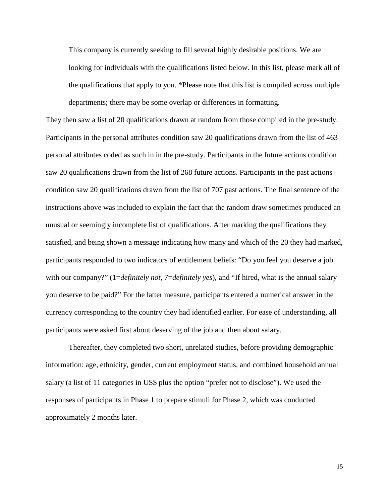This company is currently seeking to fill several highly desirable positions. We are looking for individuals with the qualifications listed below. In this list, please mark all of the qualifications that apply to you. \*Please note that this list is compiled across multiple departments; there may be some overlap or differences in formatting.

They then saw a list of 20 qualifications drawn at random from those compiled in the pre-study. Participants in the personal attributes condition saw 20 qualifications drawn from the list of 463 personal attributes coded as such in in the pre-study. Participants in the future actions condition saw 20 qualifications drawn from the list of 268 future actions. Participants in the past actions condition saw 20 qualifications drawn from the list of 707 past actions. The final sentence of the instructions above was included to explain the fact that the random draw sometimes produced an unusual or seemingly incomplete list of qualifications. After marking the qualifications they satisfied, and being shown a message indicating how many and which of the 20 they had marked, participants responded to two indicators of entitlement beliefs: "Do you feel you deserve a job with our company?" (1=*definitely not*, 7=*definitely yes*), and "If hired, what is the annual salary you deserve to be paid?" For the latter measure, participants entered a numerical answer in the currency corresponding to the country they had identified earlier. For ease of understanding, all participants were asked first about deserving of the job and then about salary.

Thereafter, they completed two short, unrelated studies, before providing demographic information: age, ethnicity, gender, current employment status, and combined household annual salary (a list of 11 categories in US\$ plus the option "prefer not to disclose"). We used the responses of participants in Phase 1 to prepare stimuli for Phase 2, which was conducted approximately 2 months later.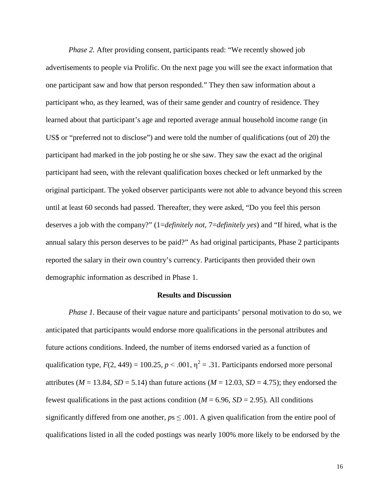*Phase 2.* After providing consent, participants read: "We recently showed job advertisements to people via Prolific. On the next page you will see the exact information that one participant saw and how that person responded." They then saw information about a participant who, as they learned, was of their same gender and country of residence. They learned about that participant's age and reported average annual household income range (in US\$ or "preferred not to disclose") and were told the number of qualifications (out of 20) the participant had marked in the job posting he or she saw. They saw the exact ad the original participant had seen, with the relevant qualification boxes checked or left unmarked by the original participant. The yoked observer participants were not able to advance beyond this screen until at least 60 seconds had passed. Thereafter, they were asked, "Do you feel this person deserves a job with the company?" (1=*definitely not*, 7=*definitely yes*) and "If hired, what is the annual salary this person deserves to be paid?" As had original participants, Phase 2 participants reported the salary in their own country's currency. Participants then provided their own demographic information as described in Phase 1.

#### **Results and Discussion**

*Phase 1.* Because of their vague nature and participants' personal motivation to do so, we anticipated that participants would endorse more qualifications in the personal attributes and future actions conditions. Indeed, the number of items endorsed varied as a function of qualification type,  $F(2, 449) = 100.25$ ,  $p < .001$ ,  $\eta^2 = .31$ . Participants endorsed more personal attributes ( $M = 13.84$ ,  $SD = 5.14$ ) than future actions ( $M = 12.03$ ,  $SD = 4.75$ ); they endorsed the fewest qualifications in the past actions condition ( $M = 6.96$ ,  $SD = 2.95$ ). All conditions significantly differed from one another,  $p_s \leq .001$ . A given qualification from the entire pool of qualifications listed in all the coded postings was nearly 100% more likely to be endorsed by the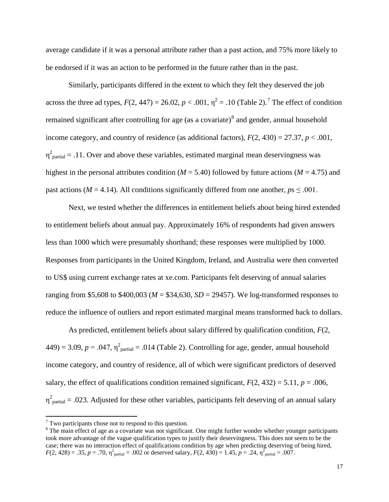average candidate if it was a personal attribute rather than a past action, and 75% more likely to be endorsed if it was an action to be performed in the future rather than in the past.

Similarly, participants differed in the extent to which they felt they deserved the job across the three ad types,  $F(2, 447) = 26.02$  $F(2, 447) = 26.02$  $F(2, 447) = 26.02$ ,  $p < .001$ ,  $\eta^2 = .10$  (Table 2).<sup>7</sup> The effect of condition remained significant after controlling for age (as a covariate) $\delta$  and gender, annual household income category, and country of residence (as additional factors),  $F(2, 430) = 27.37$ ,  $p < .001$ ,  $\eta^2_{\text{partial}} = .11$ . Over and above these variables, estimated marginal mean deservingness was highest in the personal attributes condition ( $M = 5.40$ ) followed by future actions ( $M = 4.75$ ) and past actions ( $M = 4.14$ ). All conditions significantly differed from one another,  $ps \leq .001$ .

Next, we tested whether the differences in entitlement beliefs about being hired extended to entitlement beliefs about annual pay. Approximately 16% of respondents had given answers less than 1000 which were presumably shorthand; these responses were multiplied by 1000. Responses from participants in the United Kingdom, Ireland, and Australia were then converted to US\$ using current exchange rates at xe.com. Participants felt deserving of annual salaries ranging from \$5,608 to \$400,003 ( $M = $34,630$ ,  $SD = 29457$ ). We log-transformed responses to reduce the influence of outliers and report estimated marginal means transformed back to dollars.

As predicted, entitlement beliefs about salary differed by qualification condition, *F*(2,  $(449) = 3.09, p = .047, \eta^2$ <sub>partial</sub> = .014 (Table 2). Controlling for age, gender, annual household income category, and country of residence, all of which were significant predictors of deserved salary, the effect of qualifications condition remained significant,  $F(2, 432) = 5.11$ ,  $p = .006$ ,  $\eta^2$ <sub>partial</sub> = .023. Adjusted for these other variables, participants felt deserving of an annual salary

<span id="page-17-0"></span> $7$  Two participants chose not to respond to this question.

<span id="page-17-1"></span> $8$  The main effect of age as a covariate was not significant. One might further wonder whether younger participants took more advantage of the vague qualification types to justify their deservingness. This does not seem to be the case; there was no interaction effect of qualifications condition by age when predicting deserving of being hired,  $F(2, 428) = .35, p = .70, \eta^2_{\text{partial}} = .002 \text{ or described salary}, F(2, 430) = 1.45, p = .24, \eta^2_{\text{partial}} = .007.$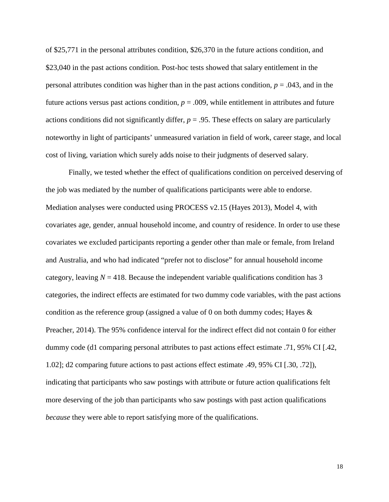of \$25,771 in the personal attributes condition, \$26,370 in the future actions condition, and \$23,040 in the past actions condition. Post-hoc tests showed that salary entitlement in the personal attributes condition was higher than in the past actions condition, *p* = .043, and in the future actions versus past actions condition,  $p = .009$ , while entitlement in attributes and future actions conditions did not significantly differ,  $p = .95$ . These effects on salary are particularly noteworthy in light of participants' unmeasured variation in field of work, career stage, and local cost of living, variation which surely adds noise to their judgments of deserved salary.

Finally, we tested whether the effect of qualifications condition on perceived deserving of the job was mediated by the number of qualifications participants were able to endorse. Mediation analyses were conducted using PROCESS v2.15 (Hayes 2013), Model 4, with covariates age, gender, annual household income, and country of residence. In order to use these covariates we excluded participants reporting a gender other than male or female, from Ireland and Australia, and who had indicated "prefer not to disclose" for annual household income category, leaving  $N = 418$ . Because the independent variable qualifications condition has 3 categories, the indirect effects are estimated for two dummy code variables, with the past actions condition as the reference group (assigned a value of 0 on both dummy codes; Hayes  $\&$ Preacher, 2014). The 95% confidence interval for the indirect effect did not contain 0 for either dummy code (d1 comparing personal attributes to past actions effect estimate .71, 95% CI [.42, 1.02]; d2 comparing future actions to past actions effect estimate .49, 95% CI [.30, .72]), indicating that participants who saw postings with attribute or future action qualifications felt more deserving of the job than participants who saw postings with past action qualifications *because* they were able to report satisfying more of the qualifications.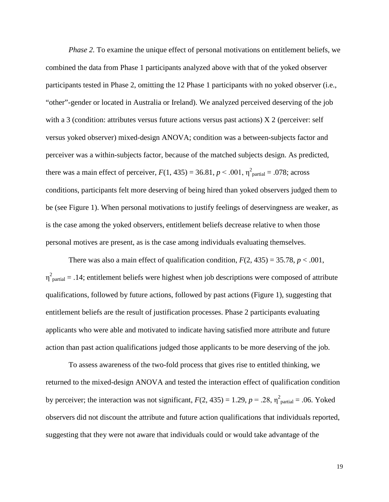*Phase 2.* To examine the unique effect of personal motivations on entitlement beliefs, we combined the data from Phase 1 participants analyzed above with that of the yoked observer participants tested in Phase 2, omitting the 12 Phase 1 participants with no yoked observer (i.e., "other"-gender or located in Australia or Ireland). We analyzed perceived deserving of the job with a 3 (condition: attributes versus future actions versus past actions)  $X_2$  (perceiver: self versus yoked observer) mixed-design ANOVA; condition was a between-subjects factor and perceiver was a within-subjects factor, because of the matched subjects design. As predicted, there was a main effect of perceiver,  $F(1, 435) = 36.81$ ,  $p < .001$ ,  $\eta^2$ <sub>partial</sub> = .078; across conditions, participants felt more deserving of being hired than yoked observers judged them to be (see Figure 1). When personal motivations to justify feelings of deservingness are weaker, as is the case among the yoked observers, entitlement beliefs decrease relative to when those personal motives are present, as is the case among individuals evaluating themselves.

There was also a main effect of qualification condition,  $F(2, 435) = 35.78$ ,  $p < .001$ ,  $\eta^2$ <sub>partial</sub> = .14; entitlement beliefs were highest when job descriptions were composed of attribute qualifications, followed by future actions, followed by past actions (Figure 1), suggesting that entitlement beliefs are the result of justification processes. Phase 2 participants evaluating applicants who were able and motivated to indicate having satisfied more attribute and future action than past action qualifications judged those applicants to be more deserving of the job.

To assess awareness of the two-fold process that gives rise to entitled thinking, we returned to the mixed-design ANOVA and tested the interaction effect of qualification condition by perceiver; the interaction was not significant,  $F(2, 435) = 1.29$ ,  $p = .28$ ,  $\eta^2$ <sub>partial</sub> = .06. Yoked observers did not discount the attribute and future action qualifications that individuals reported, suggesting that they were not aware that individuals could or would take advantage of the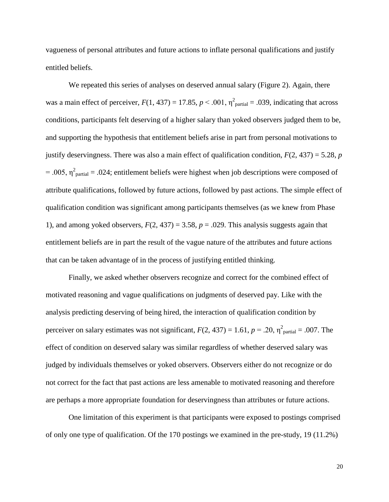vagueness of personal attributes and future actions to inflate personal qualifications and justify entitled beliefs.

We repeated this series of analyses on deserved annual salary (Figure 2). Again, there was a main effect of perceiver,  $F(1, 437) = 17.85$ ,  $p < .001$ ,  $\eta^2$ <sub>partial</sub> = .039, indicating that across</sub> conditions, participants felt deserving of a higher salary than yoked observers judged them to be, and supporting the hypothesis that entitlement beliefs arise in part from personal motivations to justify deservingness. There was also a main effect of qualification condition,  $F(2, 437) = 5.28$ , *p* = .005,  $\eta^2$ <sub>partial</sub> = .024; entitlement beliefs were highest when job descriptions were composed of attribute qualifications, followed by future actions, followed by past actions. The simple effect of qualification condition was significant among participants themselves (as we knew from Phase 1), and among yoked observers,  $F(2, 437) = 3.58$ ,  $p = .029$ . This analysis suggests again that entitlement beliefs are in part the result of the vague nature of the attributes and future actions that can be taken advantage of in the process of justifying entitled thinking.

Finally, we asked whether observers recognize and correct for the combined effect of motivated reasoning and vague qualifications on judgments of deserved pay. Like with the analysis predicting deserving of being hired, the interaction of qualification condition by perceiver on salary estimates was not significant,  $F(2, 437) = 1.61$ ,  $p = .20$ ,  $\eta^2$ <sub>partial</sub> = .007. The effect of condition on deserved salary was similar regardless of whether deserved salary was judged by individuals themselves or yoked observers. Observers either do not recognize or do not correct for the fact that past actions are less amenable to motivated reasoning and therefore are perhaps a more appropriate foundation for deservingness than attributes or future actions.

One limitation of this experiment is that participants were exposed to postings comprised of only one type of qualification. Of the 170 postings we examined in the pre-study, 19 (11.2%)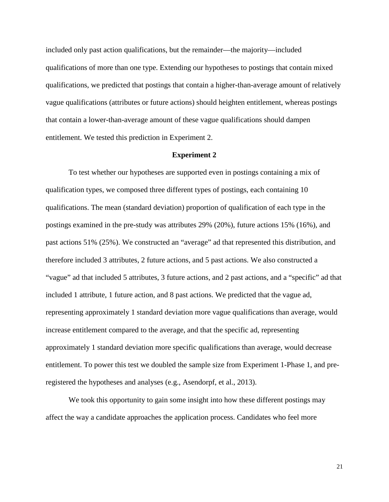included only past action qualifications, but the remainder—the majority—included qualifications of more than one type. Extending our hypotheses to postings that contain mixed qualifications, we predicted that postings that contain a higher-than-average amount of relatively vague qualifications (attributes or future actions) should heighten entitlement, whereas postings that contain a lower-than-average amount of these vague qualifications should dampen entitlement. We tested this prediction in Experiment 2.

#### **Experiment 2**

To test whether our hypotheses are supported even in postings containing a mix of qualification types, we composed three different types of postings, each containing 10 qualifications. The mean (standard deviation) proportion of qualification of each type in the postings examined in the pre-study was attributes 29% (20%), future actions 15% (16%), and past actions 51% (25%). We constructed an "average" ad that represented this distribution, and therefore included 3 attributes, 2 future actions, and 5 past actions. We also constructed a "vague" ad that included 5 attributes, 3 future actions, and 2 past actions, and a "specific" ad that included 1 attribute, 1 future action, and 8 past actions. We predicted that the vague ad, representing approximately 1 standard deviation more vague qualifications than average, would increase entitlement compared to the average, and that the specific ad, representing approximately 1 standard deviation more specific qualifications than average, would decrease entitlement. To power this test we doubled the sample size from Experiment 1-Phase 1, and preregistered the hypotheses and analyses (e.g., Asendorpf, et al., 2013).

We took this opportunity to gain some insight into how these different postings may affect the way a candidate approaches the application process. Candidates who feel more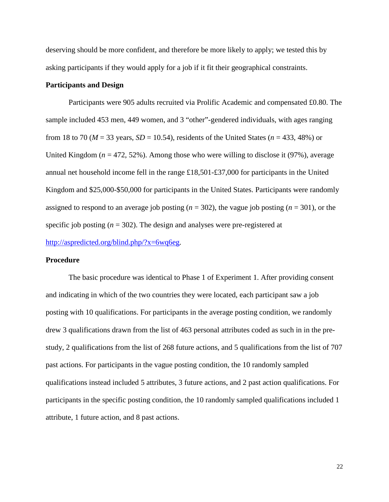deserving should be more confident, and therefore be more likely to apply; we tested this by asking participants if they would apply for a job if it fit their geographical constraints.

#### **Participants and Design**

Participants were 905 adults recruited via Prolific Academic and compensated £0.80. The sample included 453 men, 449 women, and 3 "other"-gendered individuals, with ages ranging from 18 to 70 ( $M = 33$  years,  $SD = 10.54$ ), residents of the United States ( $n = 433, 48\%$ ) or United Kingdom ( $n = 472, 52\%$ ). Among those who were willing to disclose it (97%), average annual net household income fell in the range £18,501-£37,000 for participants in the United Kingdom and \$25,000-\$50,000 for participants in the United States. Participants were randomly assigned to respond to an average job posting (*n* = 302), the vague job posting (*n* = 301), or the specific job posting  $(n = 302)$ . The design and analyses were pre-registered at [http://aspredicted.org/blind.php/?x=6wq6eg.](http://aspredicted.org/blind.php/?x=6wq6eg)

#### **Procedure**

The basic procedure was identical to Phase 1 of Experiment 1. After providing consent and indicating in which of the two countries they were located, each participant saw a job posting with 10 qualifications. For participants in the average posting condition, we randomly drew 3 qualifications drawn from the list of 463 personal attributes coded as such in in the prestudy, 2 qualifications from the list of 268 future actions, and 5 qualifications from the list of 707 past actions. For participants in the vague posting condition, the 10 randomly sampled qualifications instead included 5 attributes, 3 future actions, and 2 past action qualifications. For participants in the specific posting condition, the 10 randomly sampled qualifications included 1 attribute, 1 future action, and 8 past actions.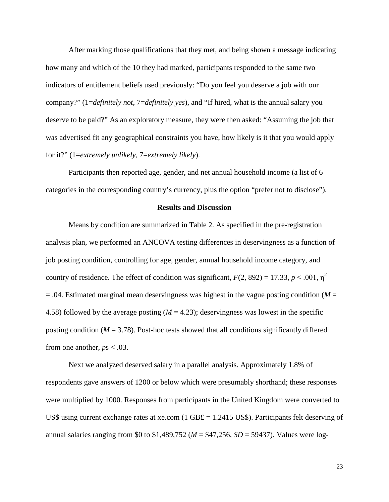After marking those qualifications that they met, and being shown a message indicating how many and which of the 10 they had marked, participants responded to the same two indicators of entitlement beliefs used previously: "Do you feel you deserve a job with our company?" (1=*definitely not*, 7=*definitely yes*), and "If hired, what is the annual salary you deserve to be paid?" As an exploratory measure, they were then asked: "Assuming the job that was advertised fit any geographical constraints you have, how likely is it that you would apply for it?" (1=*extremely unlikely*, 7=*extremely likely*).

Participants then reported age, gender, and net annual household income (a list of 6 categories in the corresponding country's currency, plus the option "prefer not to disclose").

#### **Results and Discussion**

Means by condition are summarized in Table 2. As specified in the pre-registration analysis plan, we performed an ANCOVA testing differences in deservingness as a function of job posting condition, controlling for age, gender, annual household income category, and country of residence. The effect of condition was significant,  $F(2, 892) = 17.33$ ,  $p < .001$ ,  $p<sup>2</sup>$  $=$  .04. Estimated marginal mean deservingness was highest in the vague posting condition ( $M =$ 4.58) followed by the average posting  $(M = 4.23)$ ; deservingness was lowest in the specific posting condition  $(M = 3.78)$ . Post-hoc tests showed that all conditions significantly differed from one another,  $ps < .03$ .

Next we analyzed deserved salary in a parallel analysis. Approximately 1.8% of respondents gave answers of 1200 or below which were presumably shorthand; these responses were multiplied by 1000. Responses from participants in the United Kingdom were converted to US\$ using current exchange rates at xe.com (1 GB $\pounds$  = 1.2415 US\$). Participants felt deserving of annual salaries ranging from \$0 to \$1,489,752 (*M* = \$47,256, *SD* = 59437). Values were log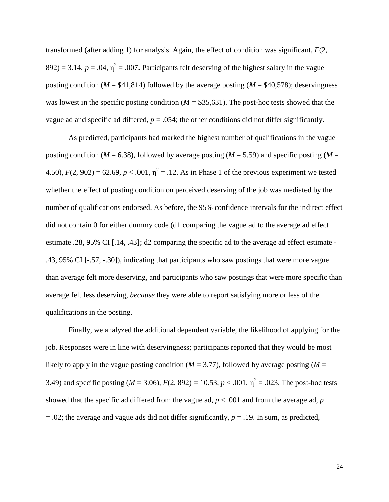transformed (after adding 1) for analysis. Again, the effect of condition was significant, *F*(2,  $892$ ) = 3.14,  $p = .04$ ,  $\eta^2 = .007$ . Participants felt deserving of the highest salary in the vague posting condition ( $M = $41,814$ ) followed by the average posting ( $M = $40,578$ ); deservingness was lowest in the specific posting condition  $(M = $35,631)$ . The post-hoc tests showed that the vague ad and specific ad differed,  $p = 0.054$ ; the other conditions did not differ significantly.

As predicted, participants had marked the highest number of qualifications in the vague posting condition ( $M = 6.38$ ), followed by average posting ( $M = 5.59$ ) and specific posting ( $M =$ 4.50),  $F(2, 902) = 62.69$ ,  $p < .001$ ,  $\eta^2 = .12$ . As in Phase 1 of the previous experiment we tested whether the effect of posting condition on perceived deserving of the job was mediated by the number of qualifications endorsed. As before, the 95% confidence intervals for the indirect effect did not contain 0 for either dummy code (d1 comparing the vague ad to the average ad effect estimate .28, 95% CI [.14, .43]; d2 comparing the specific ad to the average ad effect estimate - .43, 95% CI [-.57, -.30]), indicating that participants who saw postings that were more vague than average felt more deserving, and participants who saw postings that were more specific than average felt less deserving, *because* they were able to report satisfying more or less of the qualifications in the posting.

Finally, we analyzed the additional dependent variable, the likelihood of applying for the job. Responses were in line with deservingness; participants reported that they would be most likely to apply in the vague posting condition  $(M = 3.77)$ , followed by average posting  $(M = 10^{-10})$ 3.49) and specific posting ( $M = 3.06$ ),  $F(2, 892) = 10.53$ ,  $p < .001$ ,  $\eta^2 = .023$ . The post-hoc tests showed that the specific ad differed from the vague ad,  $p < .001$  and from the average ad,  $p$ = .02; the average and vague ads did not differ significantly, *p* = .19. In sum, as predicted,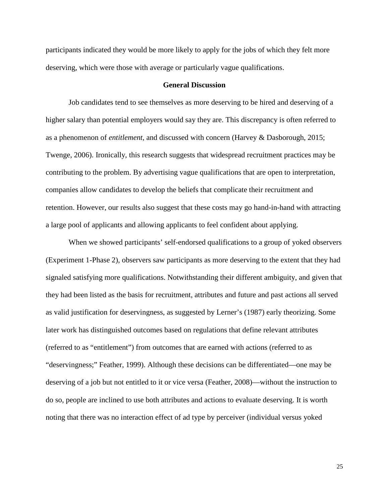participants indicated they would be more likely to apply for the jobs of which they felt more deserving, which were those with average or particularly vague qualifications.

#### **General Discussion**

Job candidates tend to see themselves as more deserving to be hired and deserving of a higher salary than potential employers would say they are. This discrepancy is often referred to as a phenomenon of *entitlement*, and discussed with concern (Harvey & Dasborough, 2015; Twenge, 2006). Ironically, this research suggests that widespread recruitment practices may be contributing to the problem. By advertising vague qualifications that are open to interpretation, companies allow candidates to develop the beliefs that complicate their recruitment and retention. However, our results also suggest that these costs may go hand-in-hand with attracting a large pool of applicants and allowing applicants to feel confident about applying.

When we showed participants' self-endorsed qualifications to a group of yoked observers (Experiment 1-Phase 2), observers saw participants as more deserving to the extent that they had signaled satisfying more qualifications. Notwithstanding their different ambiguity, and given that they had been listed as the basis for recruitment, attributes and future and past actions all served as valid justification for deservingness, as suggested by Lerner's (1987) early theorizing. Some later work has distinguished outcomes based on regulations that define relevant attributes (referred to as "entitlement") from outcomes that are earned with actions (referred to as "deservingness;" Feather, 1999). Although these decisions can be differentiated—one may be deserving of a job but not entitled to it or vice versa (Feather, 2008)—without the instruction to do so, people are inclined to use both attributes and actions to evaluate deserving. It is worth noting that there was no interaction effect of ad type by perceiver (individual versus yoked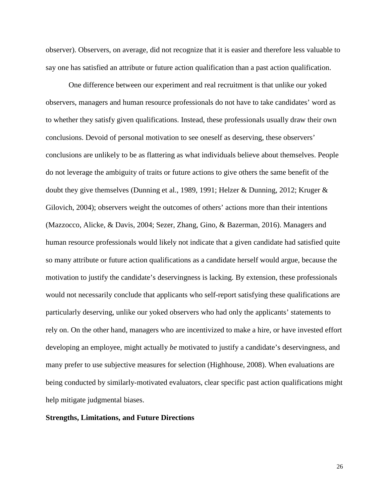observer). Observers, on average, did not recognize that it is easier and therefore less valuable to say one has satisfied an attribute or future action qualification than a past action qualification.

One difference between our experiment and real recruitment is that unlike our yoked observers, managers and human resource professionals do not have to take candidates' word as to whether they satisfy given qualifications. Instead, these professionals usually draw their own conclusions. Devoid of personal motivation to see oneself as deserving, these observers' conclusions are unlikely to be as flattering as what individuals believe about themselves. People do not leverage the ambiguity of traits or future actions to give others the same benefit of the doubt they give themselves (Dunning et al., 1989, 1991; Helzer & Dunning, 2012; Kruger & Gilovich, 2004); observers weight the outcomes of others' actions more than their intentions (Mazzocco, Alicke, & Davis, 2004; Sezer, Zhang, Gino, & Bazerman, 2016). Managers and human resource professionals would likely not indicate that a given candidate had satisfied quite so many attribute or future action qualifications as a candidate herself would argue, because the motivation to justify the candidate's deservingness is lacking. By extension, these professionals would not necessarily conclude that applicants who self-report satisfying these qualifications are particularly deserving, unlike our yoked observers who had only the applicants' statements to rely on. On the other hand, managers who are incentivized to make a hire, or have invested effort developing an employee, might actually *be* motivated to justify a candidate's deservingness, and many prefer to use subjective measures for selection (Highhouse, 2008). When evaluations are being conducted by similarly-motivated evaluators, clear specific past action qualifications might help mitigate judgmental biases.

#### **Strengths, Limitations, and Future Directions**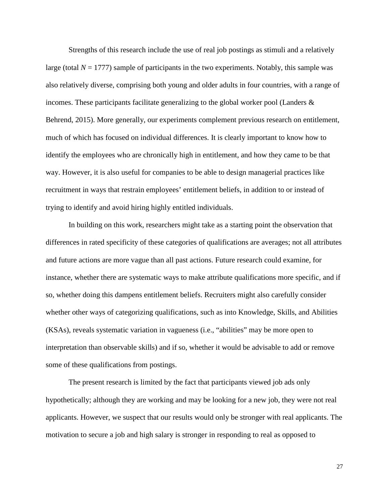Strengths of this research include the use of real job postings as stimuli and a relatively large (total  $N = 1777$ ) sample of participants in the two experiments. Notably, this sample was also relatively diverse, comprising both young and older adults in four countries, with a range of incomes. These participants facilitate generalizing to the global worker pool (Landers  $\&$ Behrend, 2015). More generally, our experiments complement previous research on entitlement, much of which has focused on individual differences. It is clearly important to know how to identify the employees who are chronically high in entitlement, and how they came to be that way. However, it is also useful for companies to be able to design managerial practices like recruitment in ways that restrain employees' entitlement beliefs, in addition to or instead of trying to identify and avoid hiring highly entitled individuals.

In building on this work, researchers might take as a starting point the observation that differences in rated specificity of these categories of qualifications are averages; not all attributes and future actions are more vague than all past actions. Future research could examine, for instance, whether there are systematic ways to make attribute qualifications more specific, and if so, whether doing this dampens entitlement beliefs. Recruiters might also carefully consider whether other ways of categorizing qualifications, such as into Knowledge, Skills, and Abilities (KSAs), reveals systematic variation in vagueness (i.e., "abilities" may be more open to interpretation than observable skills) and if so, whether it would be advisable to add or remove some of these qualifications from postings.

The present research is limited by the fact that participants viewed job ads only hypothetically; although they are working and may be looking for a new job, they were not real applicants. However, we suspect that our results would only be stronger with real applicants. The motivation to secure a job and high salary is stronger in responding to real as opposed to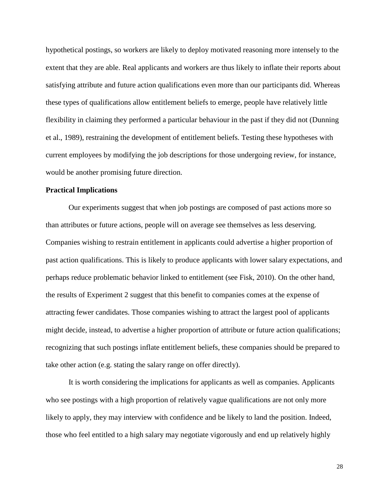hypothetical postings, so workers are likely to deploy motivated reasoning more intensely to the extent that they are able. Real applicants and workers are thus likely to inflate their reports about satisfying attribute and future action qualifications even more than our participants did. Whereas these types of qualifications allow entitlement beliefs to emerge, people have relatively little flexibility in claiming they performed a particular behaviour in the past if they did not (Dunning et al., 1989), restraining the development of entitlement beliefs. Testing these hypotheses with current employees by modifying the job descriptions for those undergoing review, for instance, would be another promising future direction.

#### **Practical Implications**

Our experiments suggest that when job postings are composed of past actions more so than attributes or future actions, people will on average see themselves as less deserving. Companies wishing to restrain entitlement in applicants could advertise a higher proportion of past action qualifications. This is likely to produce applicants with lower salary expectations, and perhaps reduce problematic behavior linked to entitlement (see Fisk, 2010). On the other hand, the results of Experiment 2 suggest that this benefit to companies comes at the expense of attracting fewer candidates. Those companies wishing to attract the largest pool of applicants might decide, instead, to advertise a higher proportion of attribute or future action qualifications; recognizing that such postings inflate entitlement beliefs, these companies should be prepared to take other action (e.g. stating the salary range on offer directly).

It is worth considering the implications for applicants as well as companies. Applicants who see postings with a high proportion of relatively vague qualifications are not only more likely to apply, they may interview with confidence and be likely to land the position. Indeed, those who feel entitled to a high salary may negotiate vigorously and end up relatively highly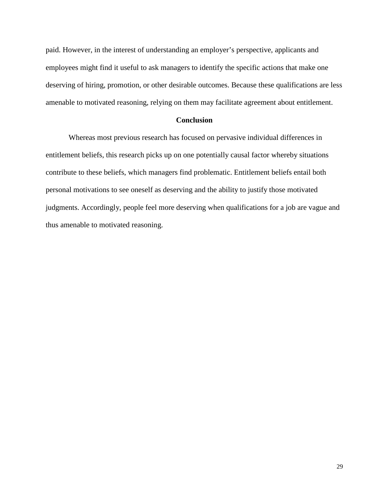paid. However, in the interest of understanding an employer's perspective, applicants and employees might find it useful to ask managers to identify the specific actions that make one deserving of hiring, promotion, or other desirable outcomes. Because these qualifications are less amenable to motivated reasoning, relying on them may facilitate agreement about entitlement.

#### **Conclusion**

Whereas most previous research has focused on pervasive individual differences in entitlement beliefs, this research picks up on one potentially causal factor whereby situations contribute to these beliefs, which managers find problematic. Entitlement beliefs entail both personal motivations to see oneself as deserving and the ability to justify those motivated judgments. Accordingly, people feel more deserving when qualifications for a job are vague and thus amenable to motivated reasoning.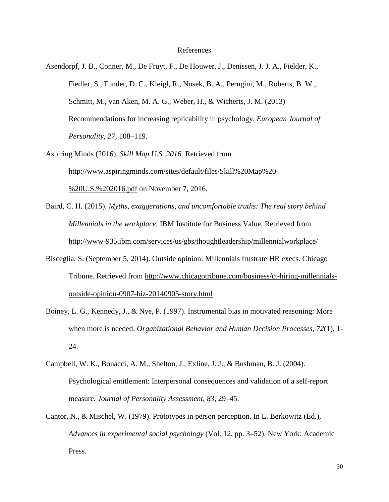#### References

Asendorpf, J. B., Conner, M., De Fruyt, F., De Houwer, J., Denissen, J. J. A., Fielder, K., Fiedler, S., Funder, D. C., Kleigl, R., Nosek, B. A., Perugini, M., Roberts, B. W., Schmitt, M., van Aken, M. A. G., Weber, H., & Wicherts, J. M. (2013) Recommendations for increasing replicability in psychology. *European Journal of Personality, 27,* 108–119.

Aspiring Minds (2016). *Skill Map U.S. 2016.* Retrieved from [http://www.aspiringminds.com/sites/default/files/Skill%20Map%20-](http://www.aspiringminds.com/sites/default/files/Skill%20Map%20-%20U.S.%202016.pdf) [%20U.S.%202016.pdf](http://www.aspiringminds.com/sites/default/files/Skill%20Map%20-%20U.S.%202016.pdf) on November 7, 2016.

- Baird, C. H. (2015). *Myths, exaggerations, and uncomfortable truths: The real story behind Millennials in the workplace.* IBM Institute for Business Value. Retrieved from <http://www-935.ibm.com/services/us/gbs/thoughtleadership/millennialworkplace/>
- Bisceglia, S. (September 5, 2014). Outside opinion: Millennials frustrate HR execs. Chicago Tribune. Retrieved from [http://www.chicagotribune.com/business/ct-hiring-millennials](http://www.chicagotribune.com/business/ct-hiring-millennials-outside-opinion-0907-biz-20140905-story.html)[outside-opinion-0907-biz-20140905-story.html](http://www.chicagotribune.com/business/ct-hiring-millennials-outside-opinion-0907-biz-20140905-story.html)
- Boiney, L. G., Kennedy, J., & Nye, P. (1997). Instrumental bias in motivated reasoning: More when more is needed. *Organizational Behavior and Human Decision Processes*, *72*(1), 1- 24.
- Campbell, W. K., Bonacci, A. M., Shelton, J., Exline, J. J., & Bushman, B. J. (2004). Psychological entitlement: Interpersonal consequences and validation of a self-report measure. *Journal of Personality Assessment, 83,* 29–45.
- Cantor, N., & Mischel, W. (1979). Prototypes in person perception. In L. Berkowitz (Ed.), *Advances in experimental social psychology* (Vol. 12, pp. 3–52). New York: Academic Press.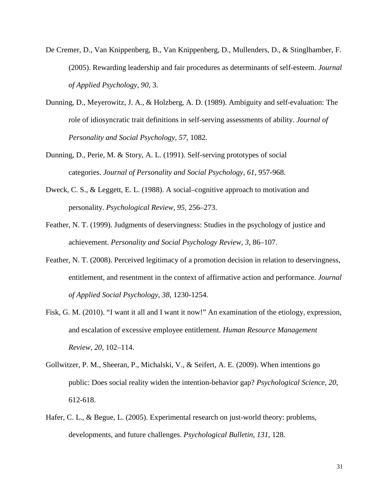- De Cremer, D., Van Knippenberg, B., Van Knippenberg, D., Mullenders, D., & Stinglhamber, F. (2005). Rewarding leadership and fair procedures as determinants of self-esteem. *Journal of Applied Psychology*, *90*, 3.
- Dunning, D., Meyerowitz, J. A., & Holzberg, A. D. (1989). Ambiguity and self-evaluation: The role of idiosyncratic trait definitions in self-serving assessments of ability. *Journal of Personality and Social Psychology*, *57*, 1082.
- Dunning, D., Perie, M. & Story, A. L. (1991). Self-serving prototypes of social categories. *Journal of Personality and Social Psychology, 61*, 957-968.
- Dweck, C. S., & Leggett, E. L. (1988). A social–cognitive approach to motivation and personality. *Psychological Review, 95,* 256–273.
- Feather, N. T. (1999). Judgments of deservingness: Studies in the psychology of justice and achievement. *Personality and Social Psychology Review, 3,* 86–107.
- Feather, N. T. (2008). Perceived legitimacy of a promotion decision in relation to deservingness, entitlement, and resentment in the context of affirmative action and performance. *Journal of Applied Social Psychology*, *38*, 1230-1254.
- Fisk, G. M. (2010). "I want it all and I want it now!" An examination of the etiology, expression, and escalation of excessive employee entitlement. *Human Resource Management Review, 20,* 102–114.
- Gollwitzer, P. M., Sheeran, P., Michalski, V., & Seifert, A. E. (2009). When intentions go public: Does social reality widen the intention-behavior gap? *Psychological Science*, *20*, 612-618.
- Hafer, C. L., & Begue, L. (2005). Experimental research on just-world theory: problems, developments, and future challenges. *Psychological Bulletin*, *131*, 128.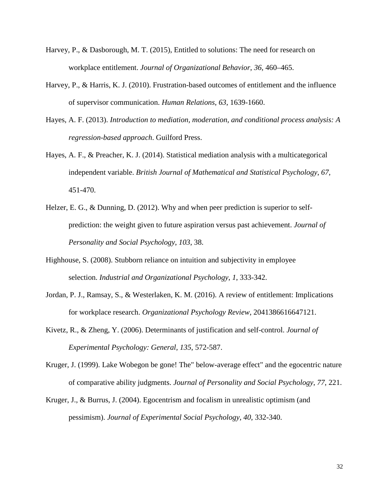- Harvey, P., & Dasborough, M. T. (2015), Entitled to solutions: The need for research on workplace entitlement. *Journal of Organizational Behavior*, *36,* 460–465.
- Harvey, P., & Harris, K. J. (2010). Frustration-based outcomes of entitlement and the influence of supervisor communication. *Human Relations*, *63*, 1639-1660.
- Hayes, A. F. (2013). *Introduction to mediation, moderation, and conditional process analysis: A regression-based approach*. Guilford Press.
- Hayes, A. F., & Preacher, K. J. (2014). Statistical mediation analysis with a multicategorical independent variable. *British Journal of Mathematical and Statistical Psychology*, *67*, 451-470.
- Helzer, E. G., & Dunning, D. (2012). Why and when peer prediction is superior to selfprediction: the weight given to future aspiration versus past achievement. *Journal of Personality and Social Psychology*, *103*, 38.
- Highhouse, S. (2008). Stubborn reliance on intuition and subjectivity in employee selection. *Industrial and Organizational Psychology*, *1*, 333-342.
- Jordan, P. J., Ramsay, S., & Westerlaken, K. M. (2016). A review of entitlement: Implications for workplace research. *Organizational Psychology Review*, 2041386616647121.
- Kivetz, R., & Zheng, Y. (2006). Determinants of justification and self-control. *Journal of Experimental Psychology: General, 135*, 572-587.
- Kruger, J. (1999). Lake Wobegon be gone! The" below-average effect" and the egocentric nature of comparative ability judgments. *Journal of Personality and Social Psychology*, *77*, 221.
- Kruger, J., & Burrus, J. (2004). Egocentrism and focalism in unrealistic optimism (and pessimism). *Journal of Experimental Social Psychology*, *40*, 332-340.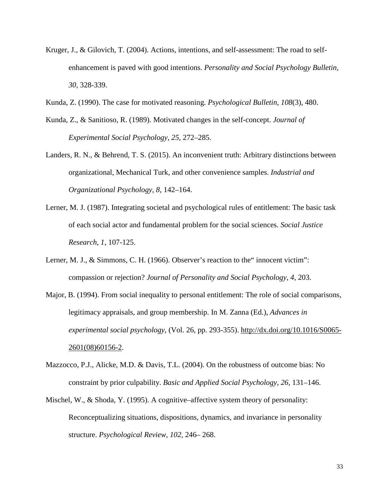- Kruger, J., & Gilovich, T. (2004). Actions, intentions, and self-assessment: The road to selfenhancement is paved with good intentions. *Personality and Social Psychology Bulletin, 30,* 328-339.
- Kunda, Z. (1990). The case for motivated reasoning. *Psychological Bulletin*, *108*(3), 480.
- Kunda, Z., & Sanitioso, R. (1989). Motivated changes in the self-concept. *Journal of Experimental Social Psychology*, *25*, 272–285.
- Landers, R. N., & Behrend, T. S. (2015). An inconvenient truth: Arbitrary distinctions between organizational, Mechanical Turk, and other convenience samples. *Industrial and Organizational Psychology*, *8*, 142–164.
- Lerner, M. J. (1987). Integrating societal and psychological rules of entitlement: The basic task of each social actor and fundamental problem for the social sciences. *Social Justice Research*, *1*, 107-125.
- Lerner, M. J., & Simmons, C. H. (1966). Observer's reaction to the "innocent victim": compassion or rejection? *Journal of Personality and Social Psychology*, *4*, 203.
- Major, B. (1994). From social inequality to personal entitlement: The role of social comparisons, legitimacy appraisals, and group membership. In M. Zanna (Ed.), *Advances in experimental social psychology,* (Vol. 26, pp. 293-355). [http://dx.doi.org/10.1016/S0065-](http://dx.doi.org/10.1016/S0065-2601(08)60156-2) [2601\(08\)60156-2.](http://dx.doi.org/10.1016/S0065-2601(08)60156-2)
- Mazzocco, P.J., Alicke, M.D. & Davis, T.L. (2004). On the robustness of outcome bias: No constraint by prior culpability. *Basic and Applied Social Psychology, 26,* 131–146.
- Mischel, W., & Shoda, Y. (1995). A cognitive–affective system theory of personality: Reconceptualizing situations, dispositions, dynamics, and invariance in personality structure. *Psychological Review, 102,* 246– 268.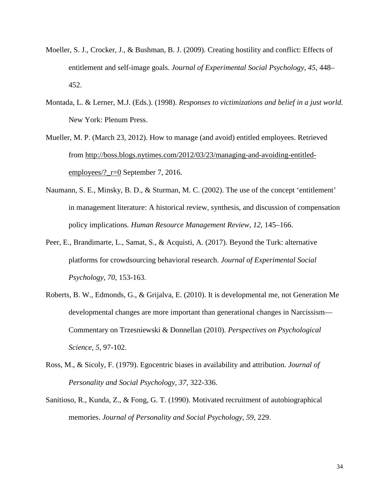- Moeller, S. J., Crocker, J., & Bushman, B. J. (2009). Creating hostility and conflict: Effects of entitlement and self-image goals. *Journal of Experimental Social Psychology*, *45*, 448– 452.
- Montada, L. & Lerner, M.J. (Eds.). (1998). *Responses to victimizations and belief in a just world.* New York: Plenum Press.
- Mueller, M. P. (March 23, 2012). How to manage (and avoid) entitled employees. Retrieved from [http://boss.blogs.nytimes.com/2012/03/23/managing-and-avoiding-entitled](http://boss.blogs.nytimes.com/2012/03/23/managing-and-avoiding-entitled-employees/?_r=0)employees/?  $r=0$  September 7, 2016.
- Naumann, S. E., Minsky, B. D., & Sturman, M. C. (2002). The use of the concept 'entitlement' in management literature: A historical review, synthesis, and discussion of compensation policy implications*. Human Resource Management Review, 12,* 145–166.
- Peer, E., Brandimarte, L., Samat, S., & Acquisti, A. (2017). Beyond the Turk: alternative platforms for crowdsourcing behavioral research. *Journal of Experimental Social Psychology*, *70*, 153-163.
- Roberts, B. W., Edmonds, G., & Grijalva, E. (2010). It is developmental me, not Generation Me developmental changes are more important than generational changes in Narcissism— Commentary on Trzesniewski & Donnellan (2010). *Perspectives on Psychological Science*, *5*, 97-102.
- Ross, M., & Sicoly, F. (1979). Egocentric biases in availability and attribution. *Journal of Personality and Social Psychology, 37,* 322-336.
- Sanitioso, R., Kunda, Z., & Fong, G. T. (1990). Motivated recruitment of autobiographical memories. *Journal of Personality and Social Psychology*, *59*, 229.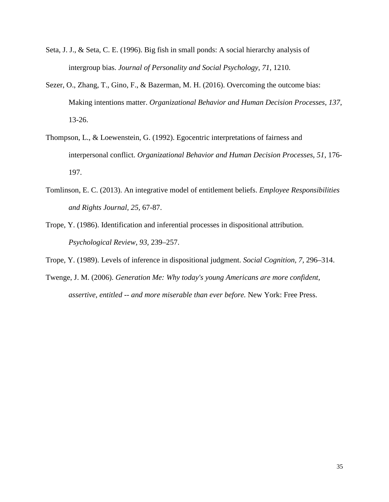- Seta, J. J., & Seta, C. E. (1996). Big fish in small ponds: A social hierarchy analysis of intergroup bias. *Journal of Personality and Social Psychology*, *71*, 1210.
- Sezer, O., Zhang, T., Gino, F., & Bazerman, M. H. (2016). Overcoming the outcome bias: Making intentions matter. *Organizational Behavior and Human Decision Processes*, *137*, 13-26.
- Thompson, L., & Loewenstein, G. (1992). Egocentric interpretations of fairness and interpersonal conflict. *Organizational Behavior and Human Decision Processes*, *51*, 176- 197.
- Tomlinson, E. C. (2013). An integrative model of entitlement beliefs. *Employee Responsibilities and Rights Journal, 25,* 67-87.
- Trope, Y. (1986). Identification and inferential processes in dispositional attribution. *Psychological Review, 93,* 239–257.
- Trope, Y. (1989). Levels of inference in dispositional judgment. *Social Cognition, 7,* 296–314.
- Twenge, J. M. (2006). *Generation Me: Why today's young Americans are more confident, assertive, entitled -- and more miserable than ever before.* New York: Free Press.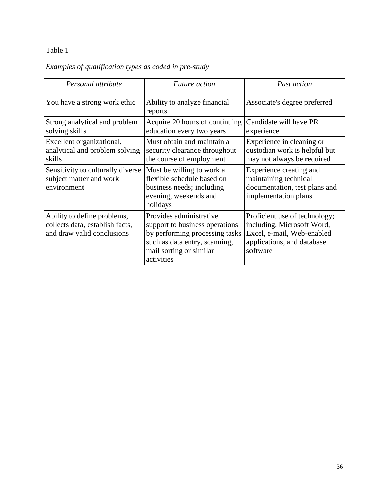### Table 1

## *Examples of qualification types as coded in pre-study*

| Personal attribute                                                                           | <i>Future action</i>                                                                                                                                                  | Past action                                                                                                                         |  |
|----------------------------------------------------------------------------------------------|-----------------------------------------------------------------------------------------------------------------------------------------------------------------------|-------------------------------------------------------------------------------------------------------------------------------------|--|
| You have a strong work ethic                                                                 | Ability to analyze financial<br>reports                                                                                                                               | Associate's degree preferred                                                                                                        |  |
| Strong analytical and problem<br>solving skills                                              | Acquire 20 hours of continuing<br>education every two years                                                                                                           | Candidate will have PR<br>experience                                                                                                |  |
| Excellent organizational,<br>analytical and problem solving<br>skills                        | Must obtain and maintain a<br>security clearance throughout<br>the course of employment                                                                               | Experience in cleaning or<br>custodian work is helpful but<br>may not always be required                                            |  |
| Sensitivity to culturally diverse<br>subject matter and work<br>environment                  | Must be willing to work a<br>flexible schedule based on<br>business needs; including<br>evening, weekends and<br>holidays                                             | Experience creating and<br>maintaining technical<br>documentation, test plans and<br>implementation plans                           |  |
| Ability to define problems,<br>collects data, establish facts,<br>and draw valid conclusions | Provides administrative<br>support to business operations<br>by performing processing tasks<br>such as data entry, scanning,<br>mail sorting or similar<br>activities | Proficient use of technology;<br>including, Microsoft Word,<br>Excel, e-mail, Web-enabled<br>applications, and database<br>software |  |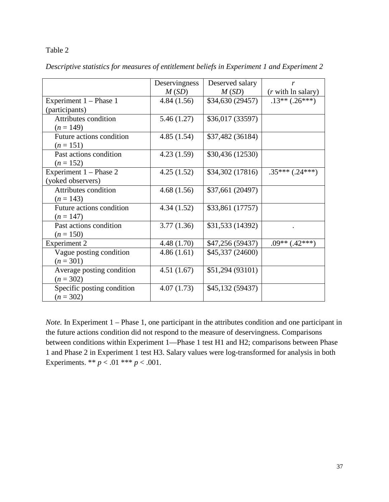#### Table 2

|                            | Deservingness | Deserved salary  | r                          |
|----------------------------|---------------|------------------|----------------------------|
|                            | M(SD)         | M(SD)            | ( <i>r</i> with ln salary) |
| Experiment 1 – Phase 1     | 4.84(1.56)    | \$34,630 (29457) | $.13**(.26***)$            |
| (participants)             |               |                  |                            |
| Attributes condition       | 5.46 (1.27)   | \$36,017 (33597) |                            |
| $(n = 149)$                |               |                  |                            |
| Future actions condition   | 4.85(1.54)    | \$37,482 (36184) |                            |
| $(n = 151)$                |               |                  |                            |
| Past actions condition     | 4.23(1.59)    | \$30,436 (12530) |                            |
| $(n = 152)$                |               |                  |                            |
| Experiment 1 – Phase 2     | 4.25(1.52)    | \$34,302 (17816) | $.35***(.24***)$           |
| (yoked observers)          |               |                  |                            |
| Attributes condition       | 4.68(1.56)    | \$37,661 (20497) |                            |
| $(n = 143)$                |               |                  |                            |
| Future actions condition   | 4.34(1.52)    | \$33,861 (17757) |                            |
| $(n = 147)$                |               |                  |                            |
| Past actions condition     | 3.77(1.36)    | \$31,533 (14392) |                            |
| $(n = 150)$                |               |                  |                            |
| <b>Experiment 2</b>        | 4.48 (1.70)   | \$47,256 (59437) | $.09**$ $(.42***)$         |
| Vague posting condition    | 4.86(1.61)    | \$45,337 (24600) |                            |
| $(n = 301)$                |               |                  |                            |
| Average posting condition  | 4.51(1.67)    | \$51,294 (93101) |                            |
| $(n = 302)$                |               |                  |                            |
| Specific posting condition | 4.07(1.73)    | \$45,132 (59437) |                            |
| $(n = 302)$                |               |                  |                            |

*Descriptive statistics for measures of entitlement beliefs in Experiment 1 and Experiment 2*

*Note.* In Experiment 1 – Phase 1, one participant in the attributes condition and one participant in the future actions condition did not respond to the measure of deservingness. Comparisons between conditions within Experiment 1—Phase 1 test H1 and H2; comparisons between Phase 1 and Phase 2 in Experiment 1 test H3. Salary values were log-transformed for analysis in both Experiments. \*\*  $p < .01$  \*\*\*  $p < .001$ .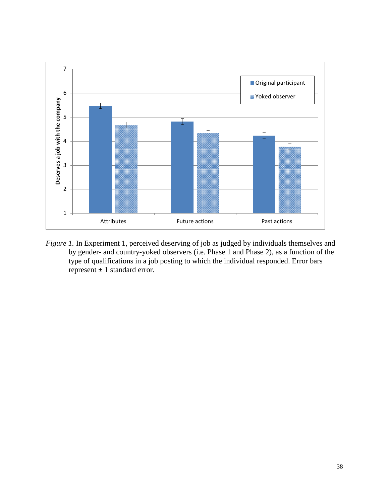

*Figure 1.* In Experiment 1, perceived deserving of job as judged by individuals themselves and by gender- and country-yoked observers (i.e. Phase 1 and Phase 2), as a function of the type of qualifications in a job posting to which the individual responded. Error bars represent  $\pm 1$  standard error.